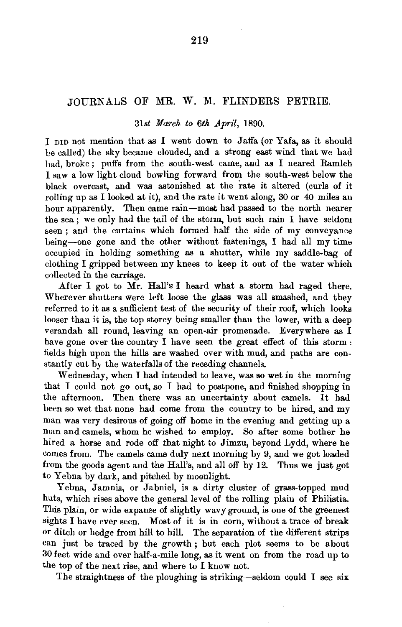# JOURNALS OF MR. W. M. FLINDERS PETRIE.

## 31st *March to 6th April,* 1890.

I DID not mention that as I went down to Jaffa (or Yafa, as it should be called) the sky became clouded, and a strong east wind that we had had, broke ; puffs from the south-west came, and as I neared Ramleh I saw a low light cloud bowling forward from the south-west below the black overcast, and was astonished at the rate it altered (curls of it rolling up as I looked at it), and the rate it went along, 30 or 40 miles an hour apparently. Then came rain-most had passed to the north nearer the sea ; we only had the tail of the storm, but such rain I have seldom seen ; and the curtains which formed half the side of my conveyance being-one gone and the other without fastenings, I had all my time occupied in holding something as a shutter, while my saddle-bag of clothing I gripped between my knees to keep it out of the water whieh collected in the carriage.

After I got to Mr. Hall's I heard what a storm had raged there. Wherever shutters were left loose the glass was all smashed, and they referred to it as a sufficient test of the security of their roof, which looks looser than it is, the top storey being smaller than the lower, with a deep verandah all round, leaving an open-air promenade. Everywhere as I have gone over the country I have seen the great effect of this storm : fields high upon the hills are washed over with mud, and paths are constantly cut by the waterfalls of the receding channels.

Wednesday, when I had intended to leave, was so wet in the morning that I could not go out, so I had to postpone, and finished shopping in the afternoon. Then there was an uncertainty about camels. It had been so wet that none had come from the country to be hired, and my man was very desirous of going off home in the evening and getting up a man and camels, whom he wished to employ. So after some bother he hired a horse and rode off that night to Jimzu, beyond Lydd, where he comes from. The camels came duly next morning by 9, and we got loaded from the goods agent and the Hall's, and all off by 12. Thus we just got to Yebna by dark, and pitched by moonlight.

Yebna, Jamnia, or Jabniel, is a dirty cluster of grass-topped mud huts, which rises above the general level of the rolling plain of Philistia.. This plain, or wide expanse of slightly wavy ground, is one of the greenest sights I have ever seen. Most of it is in corn, without a trace of break or ditch or hedge from hill to hill. The separation of the different strips can just be traced by the growth ; but each plot seems to be about 30 feet wide and over half-a-mile long, as it went on from the road up to the top of the next rise, and where to I know not.

The straightness of the ploughing is striking-seldom could I see six.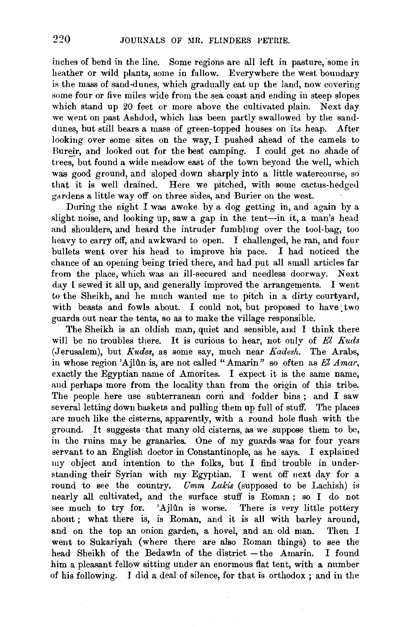inches of bend in the line. Some regions are all left in pasture, 'some in heather or wild plants, some in fallow. Everywhere the west boundary is the mass of sand-dunes, which gradually eat up the land, now covering some four or five miles wide from the sea coast and ending in steep slopes which stand up 20 feet or more above the cultivated plain. Next day we went on past Ashdod, which has been partly swallowed by the sanddunes, but still bears a mass of green-topped houses on its heap. After looking over some sites on the way, I pushed ahead of the camels to Bureir, and looked out for the best camping. I could get no shade of trees, but found a wide meadow east of the town beyond the well, which *was* good ground, and ·sloped down sharply into a little watercourse, so that it is well drained. Here we pitched, with some cactus-hedged gardens a little way off on three sides, and Burier on the west.

During the night I was awoke by a dog getting in, and again by a slight noise, and looking up, saw a gap in the tent-in it, a man's head and shoulders, and heard the intruder fumblmg over the tool-bag, too heavy to carry off, and awkward to open. I challenged, he ran, and four bullets went over his head to improve his pace. I had noticed the chance of an opening being tried there, and had put all small articles far from the place, which was an ill-secured and needless doorway. Next day 1 sewed it all up, and generally improved the arrangements. I went to the Sheikh, and he much wanted me to pitch in a dirty courtyard, with beasts and fowls about. I could not, but proposed to have two guards out near the tents, so as to make the village responsible.

The Sheikh is an oldish man, quiet and sensible, and I think there will be no troubles there. It is curious to hear, not only of *El Kwds* (Jerusalem), but *Kudes,* as some say, much near *Kadesh.* The Arabs, in whose region 'Ajlûn is, are not called "Amarin" so often as *El Amar*, exactly the Egyptian name of Amorites. I expect it is the same name, and perhaps more from the locality than from the origin of this tribe. The people here use subterranean corn and fodder *bins* ; and I saw several letting down baskets and pulling' them up full of stuff. The places are much like the cisterns, apparently, with a round hole flush with the ground. It suggests that many old cisterns, as we suppose them to be, in the ruins may be granaries. One of my guards was for four years servant to an English doctor in Constantinople, as he says. I explained my object and intention to the folks, but I find trouble in understanding their Syrian with my Egyptian. I went off next day for a round to see the country. *Umm Lakis* (supposed to be Lachish) is nearly all cultivated, and the surface stuff is Roman ; so I do not see much to try for. 'Ajlûn is worse. There is very little pottery about ; what there is, is Roman, and it is all with barley around, and on the top an onion garden, a hovel, and an old man. Then I went to Sukariyah (where there are also Roman things) to see the head Sheikh of the Bedawîn of the district - the Amarin. I found him a pleasant fellow sitting under an enormous flat tent, with a number of his following. I did a deal of silence, for that is orthodox ; and in the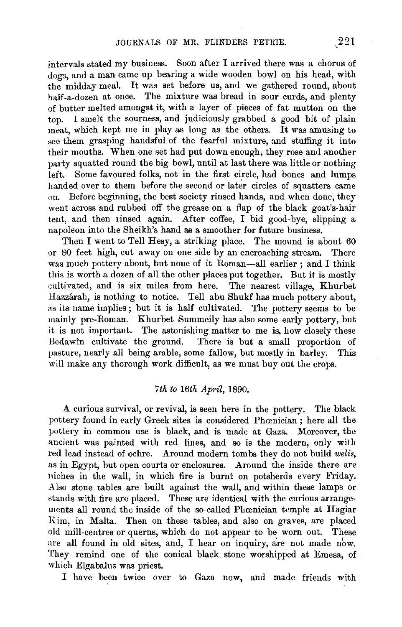intervals stated my business. Soon after I arrived there was a chorus of dogs, and a man came up bearing a wide wooden bowl on his head, with the midday meal. It was set before us, and we gathered round, about half-a-dozen at once. The mixture was bread in sour curds, and plenty of butter melted amongst it, with a layer of pieces of fat mutton on the top. I smelt the sourness, and judiciously grabbed a good bit of plain meat, which kept me in play as long as the others. It was amusing to see them grasping handsful of the fearful mixture, and stuffing it into their mouths. When one set had put down enough, they rose and another party squatted round the big bowl, until at last there was little or nothing left. Some favoured folks, not in the first circle, had bones and lumps handed over to them before the second or later circles of squatters came on. Before beginning, the best society rinsed hands, and when done, they went across and rubbed off the grease on a flap of the black goat's-hair tent, and then rinsed again. After coffee, I bid good-bye, slipping a napoleon into the Sheikh's hand as a smoother for future business.

Then I went to Tell Hesy, a striking place. The mound is about 60 or 80 feet high, cut away on one side by an encroaching stream. There was much pottery about, but none of it Roman-all earlier ; and I think this is worth a dozen of all the other places put together. But it is mostly cultivated, and is six miles from here. The nearest village, Khurbet Hazzarah, is nothing to notice. Tell abu Shukf has much pottery about, as its name implies; but it is half cultivated. The pottery seems to be mainly pre-Roman. Khurbet Summeily has also some early pottery, but it is not important. The astonishing matter to me is, how closely these Bedawin cultivate the ground. There is but a small proportion of pasture, nearly all being arable, some fallow, but mostly in barley. This will make any thorough work difficult, as we must buy out the crops.

### 7th to 16th April, 1890.

A curious survival, or revival, is seen here in the pottery. The black pottery found in early Greek sites is considered Phcenician ; here all the pottery in common use is black, and is made at Gaza. Moreover, the ancient was painted with red lines, and so is the modern, only with red lead instead of ochre. Around modern tombs they do not build *welis,*  as in Egypt, but open courts or enclosures. Around the inside there are 11iches in the wall, in which fire is burnt on potsherds every Friday. Also stone tables are built against the wall, and within these lamps or stands with fire are placed. These are identical with the curious arrangements all round the inside of the so-called Phamician temple at Hagiar Rim, in Malta. Then on these tables, and also on graves, are placed old mill-centres or querns, which do not appear to be worn out. These are all found in old sites, and, I hear on inquiry, are not made now. They remind one of the conical black stone worshipped at Emesa, of which Elgabalus was priest.

I have been twice over to Gaza now, and made friends with.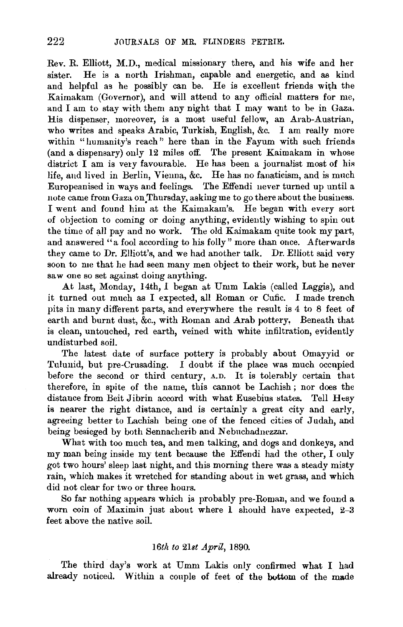Rev. R. Elliott, M.D., medical missionary there, and his wife and her sister. He is a north Irishman, capable and energetic, and as kind and helpful as he possibly can be. He is excellent friends with the Kaimakam (Governor), and will attend to any official matters for me, and I am to stay with them any night that I may want to be in Gaza. His dispenser, moreover, is a most useful fellow, an Arab-Austrian, who writes and speaks Arabic, Turkish, English, &c. I am really more within "humanity's reach" here than in the Fayum with such friends (and a dispensary) only 12 miles off. The present Kaimakam in whose district  $I$  am is very favourable. He has been a journalist most of his life, and lived in Berlin, Vienna, &c. He has no fanaticism, and is much Europeanised in ways and feelings. The Effendi never turned up until a note came from Gaza on,Thursday, asking me to go there about the business. I went and found him at the Kaimakam's. He began with every sort of objection to coming or doing anything, evidently wishing to spin out the time of all pay and no work. The old Kaimakam quite took my part, and answered "a fool according to his folly" more than once. Afterwards they came to Dr. Elliott's, and we had another talk. Dr. Elliott said very soon to me that he had seen many men object to their work, but he never saw one so set against doing anything.

At last, Monday, 14th, I began at Umm Lakis (called Laggis), and it turned out much as I expected, all Roman or Cufic. I made trench pits in many different parts, and everywhere the result is 4 to 8 feet of earth and burnt dust, &c., with Roman and Arab pottery, Beneath that is clean, untouched, red earth, veined with white infiltration, eyidently undisturbed soil.

The latest date of surface pottery is probably about Omayyid or Tulunid, but pre-Crusading. I doubt if the place was much occupied before the second or third century, A.D. It is tolerably certain that therefore, in spite of the name, this cannot be Lachish; nor does the distance from Beit Jibrin accord with what Eusebius states. Tell Hesy is nearer the right distance, and is certainly a great city and early, agreeing better to Lachish being one of the fenced cities of Judah, and being besieged by both Sennacherib and Nebuchadnezzar.

What with too much tea, and men talking, and dogs and donkeys, and my man being inside my tent because the Effendi had the other, I only got two hours' sleep last night, and this morning there was a steady misty rain, which makes it wretched for standing about in wet grass, and which did not clear for two or three hours.

So far nothing appears which is probably pre-Roman, and we found a worn coin of Maximin just about where l should have expected, 2-3 feet above the native soil.

#### *16tlt to 21st April,* 1890.

The third day's work at Umm Lakis only confirmed what I had already noticed. Within a couple of feet of the bottom of the made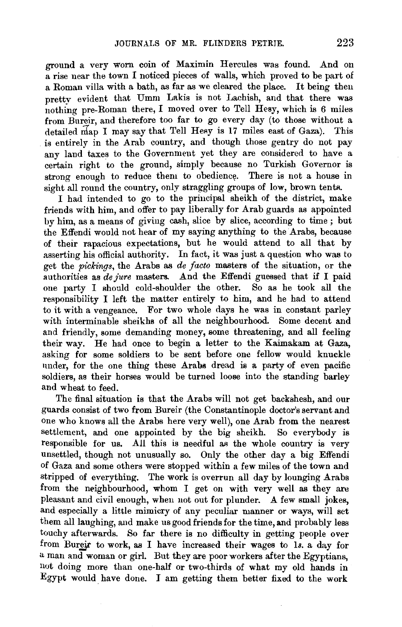ground a very worn coin of Maximin Hercules was found. And on a rise near the town I noticed pieces of walls, which proved to be part of a Roman villa with a bath, as far as we cleared the place. It being then pretty evident that Umm Lakis is not Lachish, and that there was nothing pre-Roman there, I moved over to Tell Hesy, which is 6 miles from Bnreir, and therefore too far to go every day (to those without a detailed map I may say that Tell Hesy is 17 miles east of Gaza). This is entirely in the Arab country, and though those gentry do not pay any land taxes to the Government yet they are considered to have a certain right to the ground, simply because no Turkish Governor is strong enough to reduce them to obedience. There is not a house in sight all round the country, only straggling groups of low, brown tents.

I had intended to go to the principal sheikh of the district, make friends with him, and offer to pay liberally for Arab guards as appointed by him, as a means of giving cash, slice by slice, according to time ; but the Effendi would not hear of my saying anything to the Arabs, because of their rapacious expectations, but he would attend to all that by asserting his official authority. In fact, it was just a question who was to get the *pickings*, the Arabs as *de facto* masters of the situation, or the authorities as *de jure* masters. And the Effendi guessed that if I paid one party I should cold-shoulder the other. So as he took all the responsibility I left the matter entirely to him, and he had to attend to it with a vengeance. For two whole days he was in constant parley with interminable sheikhs of all the neighbourhood. Some decent and and friendly, some demanding money, some threatening, and all feeling their way. He had once to begin a letter to the Kaimakam at Gaza, asking for some soldiers to be sent before one fellow would knuckle nnder, for the one thing these Arabs dread is a party of even pacific soldiers, as their horses would be turned loose into the standing barley and wheat to feed.

The final situation is that the Arabs will not get backshesh, and our guards consist of two from Bureir (the Constantinople doctor's servant and one who knows all the Arabs here very well), one Arab from the nearest settlement, and one appointed by the big sheikh. So everybody is responsible for us. All this is needful as the whole country is very unsettled, though not unusually so. Only the other day a big Effendi of Gaza and some others were stopped within a few miles of the town and stripped of everything. The work is overrun all day by lounging Arabs from the neighbourhood, whom I get on with very well as they are pleasant and civil enough, when not out for plunder. A few small jokes, and especially a little mimicry of any peculiar manner or ways, will set them all laughing, and make us good friends for the time, and probably less touchy afterwards. So far there is no difficulty in getting people over from Bureix to work, as I have increased their wages to 1s. a day for  $a$  man and woman or girl. But they are poor workers after the Egyptians, not doing more than one-half or two-thirds of what my old hands in Egypt would have done. I am getting them better fixed to the work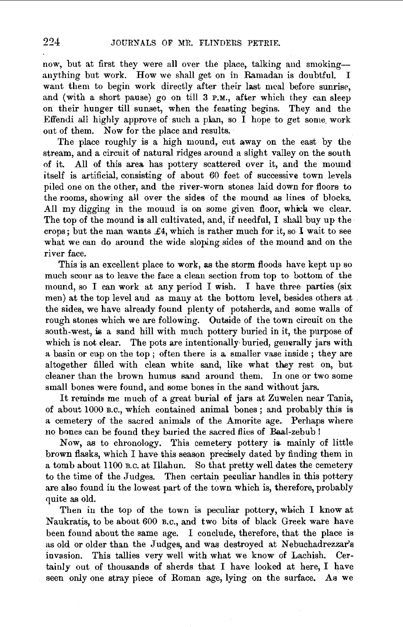now, but at first they were all over the place, talking and smokinganything but work. How we shall get on in Ramadan is doubtful. I want them to begin work directly after their last meal before sunrise, and (with a short pause) go on till 3 P.M., after which they can sleep on their hunger till sunset, when the feasting begins. They and the Effendi all highly approve of such a plan, so I hope to get some, work out of them. Now for the place and results.

The place roughly is a high mound, cut away on the east by the stream, and a circuit of natural ridges around a slight valley on the south of it. All of this area. has pottery scattered over it, and the mound itself is artificial, consisting of about 60 feet of successive town levels piled one on the other, and the river-worn stones laid down for floors to the rooms, showing all over the sides of the mound as lines of blocks. All my digging in the mound is on some given floor, which we clear. The top of the mound is all cultivated, and, if needful,  $I$  shall buy up the crops; but the man wants  $£4$ , which is rather much for it, so I wait to see what we can do around the wide sloping sides of the mound and on the river face.

This is an excellent place to work, as the storm floods have kept up so much scour as to leave the face a clean section from top to bottom of the mound, so I can work at any period I wish. I have three parties (six men) at the top level and as many at the bottom level, besides others at , the sides, we have already found plenty of potsherds, and some walls of rough stones which we are following. Outside of the town circuit on the south-west, is a sand hill with much pottery buried in it, the purpose of which is not clear. The pots are intentionally buried, generally jars with a basin or cup on the top ; often there is a smaller vase inside ; they are altogether filled with clean white sand, like what they rest on, but cleaner than the brown humus sand around them. In one or two some small bones were found, and some bones in the sand without jars.

It reminds me much of a great burial of jars at Zuwelen near Tanis, of about 1000 B.c., which contained animal bones ; and probably this is a cemetery of the sacred animals of the Amorite age. Perhaps where no bones can be found they buried the sacred flies of Baal-zebub !

Now, as to chronology. This cemetery pottery is mainly of little brown flasks, which I have this season precisely dated by finding them in a tomb about 1100 B.C. at Illahun. So that pretty well dates the cemetery to the time of the Judges. Then certain peculiar handles in this pottery are also found in the lowest part of the town which is, therefore, probably quite as old.

Then in the top of the town is peculiar pottery, which I know at Naukratis, to be about 600 B.c., and two bits of black Greek ware have been found about the same age. I conclude, therefore, that the place is as old or older than the Judges, and was destroyed at Nebuchadrezzar's invasion. This tallies very well with what we know of Lachish. Certainly out of thousands of sherds that I have looked at here, I have seen only one stray piece of Roman age, lying on the surface. As we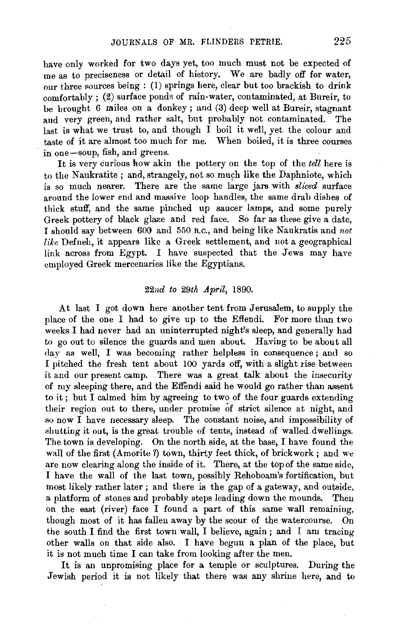have only worked for two days yet, too much must not be expected of me as to preciseness or detail of history. We are badly off for water, our three sources being : (I) springs here, clear but too brackish to drink comfortably ; (2) surface ponds of rain-water, contaminated, at Bureir, to be brought 6 miles on a donkey ; and (3) deep well at Bureir, stagnant and very green, and rather salt, but probably not contaminated. The last is what we trust to, and though  $\overline{I}$  boil it well, yet the colour and taste of it are almost too much for me. When boiled, it is three courses in one-soup, fish, and greens.

It is very curious how akin the pottery on the top of the *tell* here is to the Naukratite; and, strangely, not so much like the Daphniote, which is so much nearer. There are the same large jars with *sliced* surface around the lower end and massive loop handles, the same drab dishes of thick stuff, and the same pinched up saucer lamps, and some purely Greek pottery of black glaze and red face. So far as these give a date, I should say between 600 and 550 B.c., and being like Naukratis and *not like* Defneh, it appears like a Greek settlement, and not a geographical link acrosa from Egypt. I have suspected that the Jews may have employed Greek mercenaries like the Egyptians.

# 22nd to 29th April, 1890.

At last I got down here another tent from Jerusalem, to supply the place of the one I had to give up to the Effendi. For more than two weeks I had never had an uninterrupted night's sleep, and generally had to go out to silence the guards and men about. Having to be about all day as well, I was becoming rather helpless in consequence ; and so I pitched the fresh tent about lOO yards off, with a slight rise between it and our present camp. There was a great talk about the insecurity of my sleeping there, and the Effendi said he would go rather than assent to it ; but I calmed him by agreeing to two of the four guards extending their region out to there, under promise of strict silence at night, and so now  $\overline{I}$  have necessary sleep. The constant noise, and impossibility of shutting it out, is the great trouble of tents, instead of walled dwellings. The town is developing. On the north side, at the base, I have found the wall of the first (Amorite ?) town, thirty feet thick, of brickwork; and we are now clearing along the inside of it. There, at the top of the same side, I have the wall of the last town, possibly Rehoboam's fortification, but most likely rather later; and there is the gap of a gateway, and outside, a platform of stones and probably steps leading down the mounds. Then on the east (river) face I found a part of this same wall remaining, though most of it has fallen away by the scour of the watercourse. On the south I find the first town wall, I believe, again ; and I am tracing other walls on that side also. I have begun a plan of the place, but it is not much time I can take from looking after the men.

It is an unpromising place for a temple or sculptures. During the Jewish period it is not likely that there was any shrine here, and to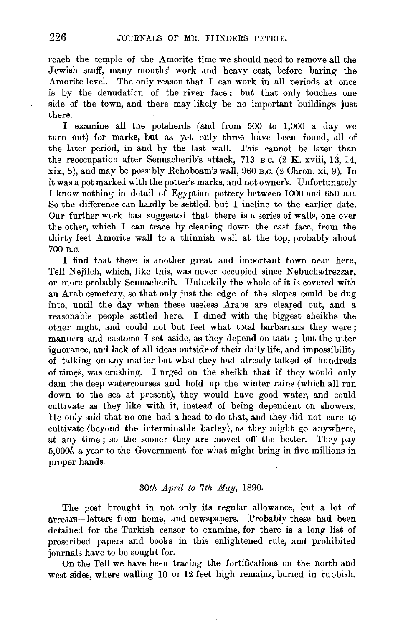reach the temple of the Amorite time we should need to remove all the Jewish stuff, many months' work and heavy cost, before baring the Amorite level. The only reason that I can work in all periods at once is by the denudation of the river face ; but that only touches one side of the town, and there may likely be no important buildings just there.

I examine all the potsherds (and from 500 to 1,000 a day we turn out) for marks, but as yet only three have been found, all of the later period, in and by the last wall. This cannot be later than the reoccupation after Sennacberib's attack, 713 B.C. (2 K. xviii, 13, 14, xix, 8), and may be possibly Rehoboam's wall, 960 B.c. (2 Uhron. xi, 9). In it was a pot marked with the potter's marks, and not owner's. Unfortunately I know nothing in detail of Egyptian pottery between 1000 and 650 B.C. So the difference can hardly be settled, but I incline to the earlier date. Our further work has suggested that there is a series of walls, one over the other, which I can trace by cleaning down the east face, from the thirty feet Amorite wall to a thinnish wall at the top, probably about 700 B.C.

I find that there is another great and important town near here, Tell Nejileh, which, like this, was never occupied since Nebuchadrezzar, or more probably Sennacherib. Unluckily the whole of it is covered with an Arab cemetery, so that only just the edge of the slopes could be dug into, until the day when these useless Arabs are cleared out, and a reasonable people settled here. I dmed with the biggest sheikhs the other night, and could not but feel what total barbarians they were; manners and customs I set aside, as they depend on taste ; but the utter ignorance, and lack of all ideas outside of their daily life, and impossibility of talking on any matter but what they bad already talked of hundreds of times, was crushing. I urged on the sheikh that if they would only dam the deep watercourses and hold up the winter rains (which all run down to the sea at present), they would have good water, and could cultivate as they like with it, instead of being dependent on showers. He only said that no one had a head to do that, and they did not care to cultivate (beyond the interminable barley), as they might go anywhere, at any time ; so the sooner they are moved off the better. They pay *5,000l.* a year to the Government for what might bring in five millions in proper hands.

## *30th April to 7th May,* 1890.

The post brought in not only its regular allowance, but a lot of arrears-letters from home, and newspapers. Probably these had been detained for the Turkish censor to examine, for there is a long list of proscribed papers and books in this enlightened rule, and prohibited journal8 have to be sought for.

On the Tell we have been tracing the fortifications on the north and west sides, where walling 10 or 12 feet high remains, buried in rubbish.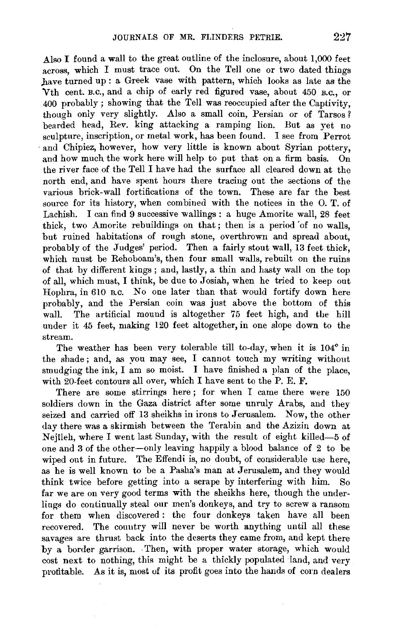Also I found a wall to the great outline of the inclosure, about 1,000 feet across, which I must trace out. On the Tell one or two dated things have turned up : a Greek vase with pattern, which looks as late as the Vth cent. n.c., and a chip of early red figured vase, about 450 n.c., or 400 probably ; showing that the Tell was reoccupied after the Captivity, though only very slightly. Also a small coin, Persian or of Tarsos? bearded head, Rev. king attacking a ramping lion. But as yet no sculpture, inscription, or metal work, has been found. I see from Perrot and Chipiez, however, how very little is known about Syrian pottery, and how much the work here will help to put that on a firm basis. On the river face of the Tell I have had the surface all cleared down at the north end, and have spent hours there tracing out the sections of the various brick-wall fortifications of the town. These are far the best source for its history, when combined with the notices in the 0. T. of Lachish. I can find 9 successive wallings : a huge Amorite wall, 28 feet thick, two Amorite rebuildings on that; then is a period "of no walls, but ruined habitations of rough stone, overthrown and spread about, probably of the Judges' period. Then a fairly stout wall, 13 feet thick, which must be Rehoboam's, then four small walls, rebuilt on the ruins of that by different kings ; and, lastly, a thin and hasty wall on the top of all, which must, I think, be due to Josiah, when he tried to keep out Hophra, in 610 n.c. No one later than that would fortify down here probably, and the Persian coin was just above the bottom of this wall. The artificial mound is altogether 75 feet high, and the hill under it 45 feet, making 120 feet altogether, in one slope down to the stream.

The weather has been very tolerable till to-day, when it is 104° in the shade ; and, as you may see, I cannot touch my writing without smudging the ink, I am so moist. I have finished a plan of the place, with 20-feet contours all over, which I have sent to the P. E. F.

There are some stirrings here ; for when I came there were 150 soldiers down in the Gaza district after some unruly Arabs, and they seized and carried off 13 sheikhs in irons to Jerusalem. Now, the other day there was a skirmish between the Terahin and the Azizin down at Nejîleh, where I went last Sunday, with the result of eight killed-5 of one and 3 of the other-only leaving happily a blood balance of 2 to be wiped out in future. The Effendi is, no doubt, of considerable use here, as he is well known to be a Pasha's man at Jerusalem, and they would think twice before getting into a scrape by interfering with him. So far we are on very good terms with the sheikhs here, though the underlings do continually steal our men's donkeys, and try to screw a ransom for them when discovered : the four donkeys taken have all been recovered. The country will never be worth anything until all these savages are thrust back into the deserts they came from, and kept there by a border garrison. . Then, with proper water storage, which would cost next to nothing, this might be a thickly populated land, and very protitable. As it is, most of its profit goes into the hands of corn dealers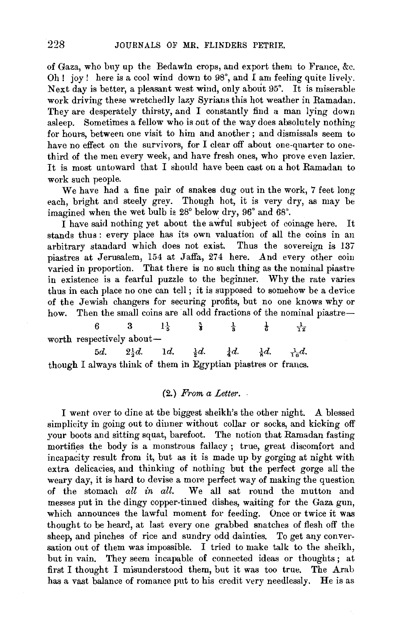of Gaza, who buy up the Bedawin crops, and export them to France, &c. Oh! joy! here is a cool wind down to  $98^\circ$ , and I am feeling quite lively. Next day is better, a pleasant west wind, only about 95°. It is miserable work driving these wretchedly lazy Syrians this hot weather in Ramadan. They are desperately thirsty, and I constantly find a man lying down asleep. Sometimes a fellow who is out of the way does absolutely nothing for hours, between one visit to him and another ; and dismissals seem to have no effect on the survivors, for I clear off about one-quarter to onethird of the men every week, and have fresh ones, who prove even lazier. It is most untoward that I should have been cast on a hot Ramadan to work such people.

We have had a fine pair of snakes dug out in the work, 7 feet long each, bright and steely grey. Though hot, it is very dry, as may be imagined when the wet bulb ie 28° below dry, 96° and 68°.

I have said nothing yet about the awful subject of coinage here. It stands thus : every place has its own valuation of all the coins in an arbitrary standard which does not exist. Thus the sovereign is 137 piastres at Jerusalem, 154 at Jaffa, 274 here. And every other coin varied in proportion. That there is no such thing as the nominal piastre in existence is a fearful puzzle to the beginner. Why the rate varies thus in each place no one can tell ; it is supposed to somehow be a device of the Jewish changers for securing profits, but no one knows why or how. Then the small coins are all odd fractions of the nominal piastre-

6 3  $1\frac{1}{5}$ ą.  $\frac{1}{3}$  $\frac{1}{6}$   $\frac{1}{12}$ worth respectively about-

5d.  $2\frac{1}{2}d$ . 1d.  $\frac{1}{2}d$ .  $\frac{1}{4}d$ .  $\frac{1}{8}d$ .  $\frac{1}{16}d$ . though I always think of them in Egyptian piastres or francs.

## (2.) *From a Letter.*

I went over to dine at the biggest sheikh's the other night. A blessed simplicity in going out to dinner without collar or socks, and kicking off your boots and sitting squat, barefoot. The notion that Ramadan fasting mortifies the body is a monstrous fallacy ; true, great discomfort and incapacity result from it, but as it is made up by gorging at night with extra delicacies, and thinking of nothing but the perfect gorge all the weary day, it is hard to devise a more perfect way of making the question of the stomach *all in all.* We all sat round the mutton and messes put in the dingy copper-tinned dishes, waiting for the Gaza gun, which announces the lawful moment for feeding. Once or twice it was thought to be heard, at last every one grabbed snatches of flesh off the sheep, and pinches of rice and sundry odd dainties. To get any conversation out of them was impossible. I tried to make talk to the sheikh, but in vain. They seem incapable of connected ideas or thoughts ; at first I thought I misunderstood them, but it was too true. The Arab has a vast balance of romance put to his credit very needlessly. He is as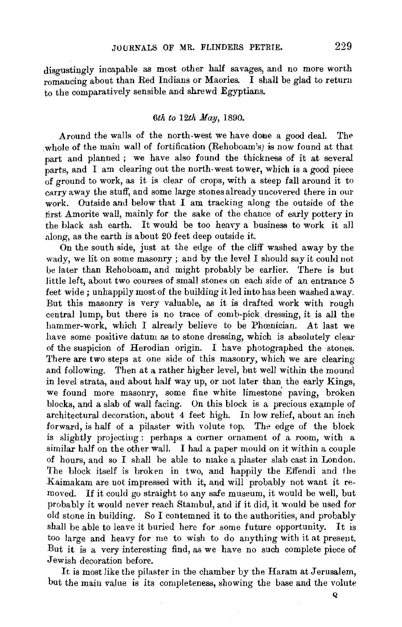disgustingly incapable as most other half savages, and no more worth romancing about than Red Indians or Maories.  $\tilde{I}$  shall be glad to return to the comparatively sensible and shrewd Egyptians.

#### 6th to 12th May, 1890.

Around the walls of the north-west we have done a good deal. The whole of the main wall of fortification (Rehoboam's) is now found at that part and planned ; we have also found the thickness of it at several  $_{\text{parts, and}}$  I am clearing out the north-west tower, which is a good piece of ground to work, as it is clear of crops, with a steep fall around it to carry away the stuff, and some large stones already uncovered there in our work. Outside and below that I am tracking along the outside of the tirst Amorite wall, mainly for the sake of the chance of early pottery in the black ash earth. It would be too heavy a business to work it all along, as the earth is about 20 feet deep outside it.

On the south side, just at the edge of the cliff washed away by the wady, we lit on some masonry; and by the level I should say it could not be later than Rehoboam, and might probably be earlier. There is but little left, about two courses of small stones on each side of an entrance 5 feet wide; unhappily most of the building it led into has been washed away. But this masonry is very valuable, as it is drafted work with rough central lump, but there is no trace of comb-pick dressing, it is all the hammer-work, which I already believe to be Phœnician. At last we have some positive datum as to stone dressing, which is absolutely clear of the suspicion of Herodian origin. I have photographed the stones. There are two steps at one side of this masonry, which we are clearing and following. Then at a rather higher level, but well within the mound in level strata, and about half way up, or not later than the early Kings, we found more masonry, some fine white limestone paving, broken blocks, and a slab of wall facing. On this block is a precious example of architectural decoration, about 4 feet high. In low relief, about an inch forward, is half of a pilaster with volute top. The edge of the block is slightly projectiug : perhaps a corner ornament of a room, with a similar half on the other wall. I had a paper mould on it within a couple of hours, and so I shall he able to make a plaster slab cast in London. The block itself is broken in two, and happily the Effendi and the Kaimakam are not impressed with it, and will probably not want it removed. If it could go straight to any safe museum, it would be well, but probably it would never reach Stambul, and if it did, it would be used for old stone in building. So I contemned it to the authorities, and probably shall be able to leave it buried here for some future opportunity. It is too large and heavy for rue to wish to do anything with it at present. But it is a very interesting find, as we have no such complete piece of Jewish decoration before.

It is most like the pilaster in the chamber by the Haram at Jerusalem, but the main value is its completeness, showing the base and the volute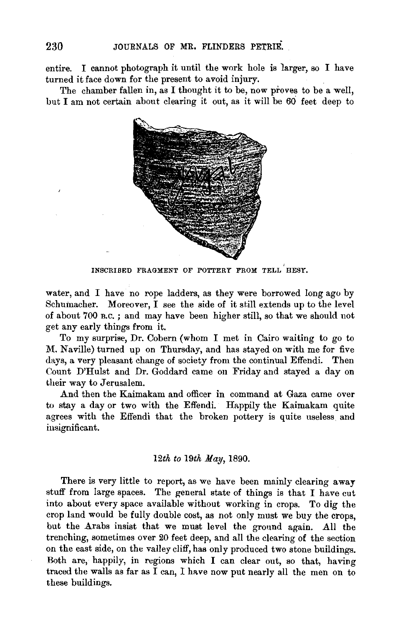entire. I cannot photograph it until the work hole is larger, so I have turned it face down for the present to avoid injury.

The chamber fallen in, as I thought it to be, now proves to be a well, but I am not certain about clearing it out, as it will be 60 feet deep to



INSCRIBED FRAGMENT OF POTTERY FROM TELL HESY.

water, and I have no rope ladders, as they were borrowed long ago by Schumacher. Moreover, I see the side of it still extends up to the level of about 700 B.c. ; and may have been higher still, so that we should not get any early things from it.

To my surprise, Dr. Cobern (whom I met in Cairo waiting to go to M. Naville) turned up on Thursday, and has stayed on with me for five days, a very pleasant change of society from the continual Effendi. Then Count D'Hulst and Dr. Goddard came on Friday and stayed a day on their way to Jerusalem.

And then the Kaimakam and officer in command at Gaza came over to stay a day or two with the Effendi. Happily the Kaimakam quite agrees with the Effendi that the broken pottery is quite useless and insignificant.

#### *12th to* 19th May, 1890.

There is very little to report, as we have been mainly clearing away stuff from large spaces. The general state of things is that I have cut into about every space available without working in crops. To dig the crop land would be fully double cost, as not only must we buy the crops, but the Arabs insist that we must level the ground again. All the trenching, sometimes over 20 feet deep, and all the clearing of the section on the east side, on the valley cliff, has only produced two stone buildings. Both are, happily, in regions which I can clear out, so that, having traced the walls as far as  $I$  can,  $I$  have now put nearly all the men on to these buildings.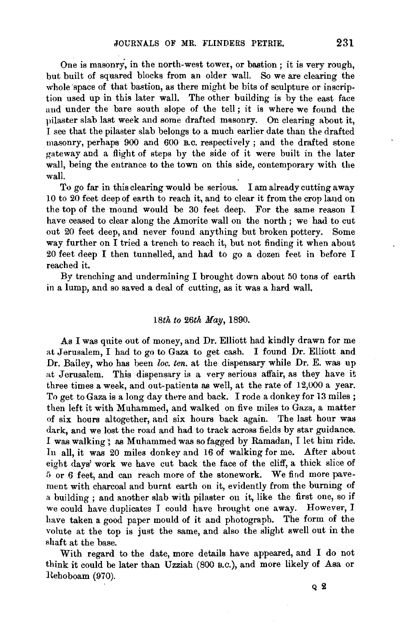One is masonry, in the north-west tower, or bastion; it is very rough, but built of squared blocks from an older wall. So we are clearing the whole space of that bastion, as there might be bits of sculpture or inscription used up in this later wall. The other building is by the east face and under the bare south slope of the tell ; it is where we found the pilaster slab last week and some drafted masonry. On clearing about it, I see that the pilaster slab belongs to a much earlier date than the drafted masonry, perhaps 900 and 600 B.C. respectively ; and the drafted stone gateway and a flight of steps by the side of it were built in the later wall, being the entrance to the town on this side, contemporary with the wall.

To go far in this clearing would be serious. I am already cutting away 10 to 20 feet deep of earth to reach it, and to clear it from the crop land on the top of the mound would be 30 feet deep. For the same reason I have ceased to clear along the Amorite wall on the north; we had to cut out 20 feet deep, and never found anything but broken pottery. Some way further on I tried a trench to reach it, but not finding it when about 20 feet deep I then tunnelled, and had to go a dozen feet in before I reached it.

By trenching and undermining I brought down about 50 tons of earth in a lump, and so saved a deal of cutting, as it was a hard wall.

#### *18th to 26th May,* 1890.

As I was quite out of money, and Dr. Elliott had kindly drawn for me at Jerusalem, I had to go to Gaza to get cash. I found Dr. Elliott and Dr. Bailey, who has been *loc. ten.* at the dispensary while Dr. E. was up at Jerusalem. This dispensary is a very serious affair, as they have it three times a week, and out-patients as well, at the rate of 12,000 a year. To get to Gaza is a long day there and back. I rode a donkey for 13 miles ; then left it with Muhammed, and walked on five miles to Gaza, a matter of six hours altogether, and six hours back again. The last hour was dark, and we lost the road and had to track across fields by star guidance. I was walking; as Mu hammed was so fagged by Ramadan, I let him ride. In all, it was 20 miles donkey and 16 of walking for me. After about eight days' work we have cut back the face of the cliff, a thick slice of 5 or 6 feet, and can reach more of the stonework. We find more pavement with charcoal and burnt earth on it, evidently from the burning of a building ; and another slab with pilaster on it, like the first one, so if we could have duplicates I could have brought one away. However, I have taken a good paper mould of it and photograph. The form of the volute at the top is just the same, and also the slight swell out in the shaft at the base.

With regard to the date, more details have appeared, and I do not think it could be later than Uzziah (800 B.c.), and more likely of Asa or Hehoboam (970).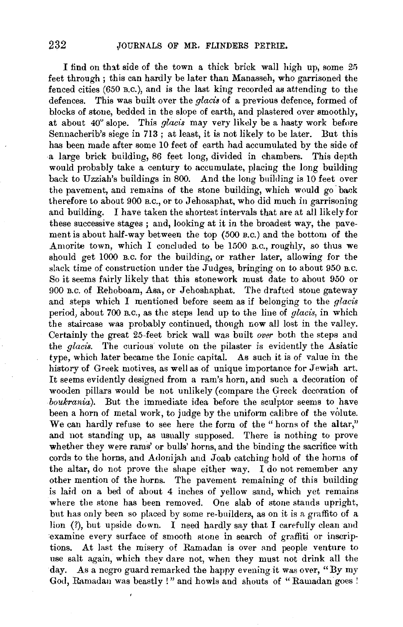I find on that side of the town a thick brick wall high up, some 25 feet through ; this can hardly be later than Manasseh, who garrisoned the fenced cities (650 B.c.), and is the last king recorded as attending to the defences. This was built over the *glacis* of a previous defence, formed of blocks of stone, bedded in the slope of earth, and plastered over smoothly, at about 40" slope. This *glacis* may very likely be a hasty work before Sennacherib's siege in 713 ; at least, it is not likely to be later. But this has been made after some 10 feet of earth had accumulated by the side of a large brick building, 86 feet long, divided in chambers. This depth would probably take a century to accumulate, placing the long building back to Uzziah's buildings in 800. And the long building is  $10$  feet over the pavement, and remains of the stone building, which would go· back therefore to about 900 B.C., or to Jehosaphat, who did much in garrisoning and building. I have taken the shortest intervals that are at all likely for these successive stages ; and, looking at it in the broadest way, the pavement is about half-way between the top (500 B.c.) and the bottom of the Amorite town, which I concluded to be 1500 B.C., roughly, so thus we should get 1000 B.C. for the building, or rather later, allowing for the slack time of construction under the Judges, bringing on to about 950 B.C. So it seems fairly likely that this stonework must date to about 950 or 900 B.C. of Rehoboam, Asa, or Jehoshaphat. The drafted stone gateway and steps which I mentioned before seem as if belonging to the *glacis*  period, about 700 B.c., as the steps lead up to the line of *glacis,* in which the staircase was probably continued, though now all lost in the valley. Certainly the great 25-feet brick wall was built *over* both the steps and the *glacis*. The curious volute on the pilaster is evidently the Asiatic type, which later became the Ionic capital. As such it is of value in the history of Greek motives, as well as of unique importance for Jewish art. It seems evidently designed from a ram's horn, and such a decoration of wooden pillars would be not unlikely (compare the Greek decoration of *boukrania*). But the immediate idea before the seulptor seems to have been a horn of metal work, to judge by the uniform calibre of the volute. We can hardly refuse to see here the form of the " horns of the altar," and not standing up, as usually supposed. There is nothing to prove whether they were rams' or bulls' horns, and the binding the sacrifice with cords to the horns, and Adonijah and Joab catching hold of the horns of the altar, do not prove the shape either way. I do not remember any other mention of the horns. The pavement remaining of this building is laid on a bed of about 4 inches of yellow sand, which yet remains where the stone has been removed. One slab of stone stands upright, but has only been so placed by some re-builders, as on it is a graffito of a lion  $(2)$ , but upside down. I need hardly say that I carefully clean and examine every surface of smooth stone in search of graffiti or inscriptions. At last the misery of Ramadan is over and people venture to use salt again, which they dare not, when they must not drink all the day. As a negro guard remarked the happy evening it was over, "By my God, Ramadan was beastly !" and howls and shouts of "Ramadan goes!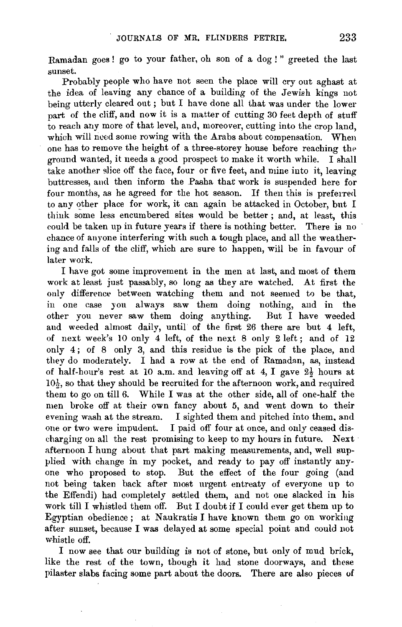Ramadan goes! go to your father, oh son of a dog!" greeted the last sunset.

Probably people who have not seen the place will cry out aghast at the idea of leaving any chance of a building of the Jewish kings not being utterly cleared out ; but I have done all that was under the lower part of the cliff, and now it is a matter of cutting 30 feet depth of stuff to reach any more of that level, and, moreover, cutting into the crop land, which will need some rowing with the Arabs about compensation. When one has to remove the height of a three-storey house before reaching the ground wanted, it needs a good prospect to make it worth while. I shall take another slice off the face, four or five feet, and mine into it, leaving buttresses, and then inform the Pasha that work is suspended here for four months, as he agreed for the hot season. If then this is preferrecl to any other place for work, it can again be attacked in October, but I think some less encumbered sites would be better; and, at least, this could be taken up in future years if there is nothing better. There is no chance of anyone interfering with such a tough place, and all the weathering and falls of the cliff, which are sure to happen, will be in favour of later work.

I have got some improvement in the men at last, and most of them work at least just passably, so long as they are watched. At first the only difference between watching them and not seemed to be that, in one case you always saw them doing nothing, and in the other you never saw them doing anything. But I have weeded and weeded almost daily, until of the first 26 there are but 4 left, of next week's 10 only 4 left, of the next 8 only 2 left; and of 12 only 4; of 8 only 3, and this residue is the pick of the place, and they do moderately. I had a row at the end of Ramadan, as, instead of half-hour's rest at 10 a.m. and leaving off at 4, I gave  $2\frac{1}{2}$  hours at  $10\frac{1}{2}$ , so that they should be recruited for the afternoon work, and required them to go on till 6. While I was at the other side, all of one-half the men broke off at their own fancy about 5, and went down to their evening wash at the stream. I sighted them and pitched into them. and one or two were impudent. I paid off four at once, and only ceased discharging on all the rest promising to keep to my hours in future. Next afternoon I hung about that part making measurements, and, well supplied with change in my pocket, and ready to pay off instantly anyone who proposed to stop. But the effect of the four going (and not being taken back after most urgent entreaty of everyone up to the Effendi) had completely settled them, and not one slacked in his work till I whistled them off. But I doubt if I could ever get them up to Egyptian obedience; at Naukratis I have known them go on working after sunset, because I was delayed at some special point and could not whistle off.

I now see that our building is not of stone, but only of mud brick, like the rest of the town, though it had stone doorways, and these pilaster slabs facing some part about the doors. There are also pieces of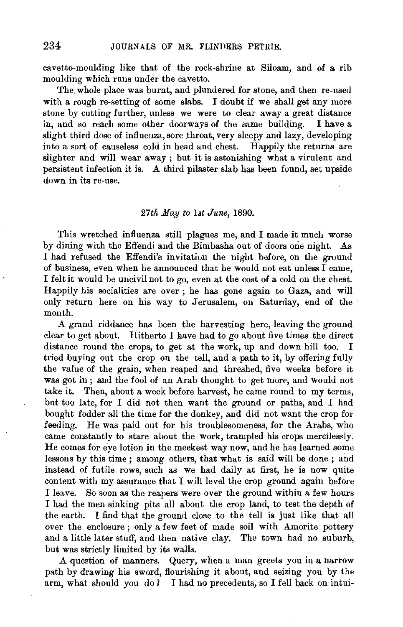cavetto-moulding like that of the rock-shrine at Siloam, and of a rib moulding which runs under the cavetto.

The. whole place was burnt, and plundered for stone, and then re-used with a rough re-setting of some slabs. I doubt if we shall get any more stone by cutting further, unless we were to clear away a great distance in, and so reach some other doorways of the same building. I have a slight third dose of influenza, sore throat, very sleepy and lazy, developing into a sort of causeless cold in head and chest. Happily the returns are slighter and will wear away ; but it is astonishing what a virulent and persistent infection it is. A third pilaster slab has been found, set upside down in its re-use.

#### *27th lfay to 1st June,* 1890.

This wretched influenza still plagues me, and I made it much worse by dining with the Effendi and the Bimbasha out of doors one night. As I had refused the Effendi's invitation the night before, on the ground of business, even when he announced that he would not eat unless  $\vec{I}$  came, I felt it would be uncivil not to go, even at the cost of a cold on the chest. Happily his socialities are over ; he has gone again to Gaza, and will only return here on his way to Jerusalem, on Saturday, end of the month.

A grand riddance has been the harvesting here, leaving the ground clear to get about. Hitherto I have had to go about five times the direct distance round the crops, to get at the work, up and down hill too. I tried buying out the crop on the tell, and a path to it, by offering fully the value of the grain, when reaped and threshed, five weeks before it was got in; and the fool of an Arab thought to get more, and would not take it. Then, about a week before harvest, he came round to my terms, but too late, for I did not then want the ground or paths, and I had bought fodder all the time for the donkey, and did not want the crop for feeding. He was paid out for his troublesomeness, for the Arabs, who came constantly to stare about the work, trampled his crops mercilessly. He comes for eye lotion in the meekest way now, and he has learned some lessons by this time; among others, that what is said will be done ; and instead of futile rows, such as we had daily at first, he is now quite content with my assurance that I will level the crop ground again before I leave. So soon as the reapers were over the ground within a few hours I had the men sinking pits all about the crop land, to test the depth of the earth. I find that the ground close to the tell is just like that all over the enclosure; only a few feet of made soil with Amorite pottery and a little later stuff, and then native clay. The town had no suburb, but was strictly limited by its walls.

A question of manners. Query, when a man greets you in a narrow path by drawing his sword, flourishing it about, and seizing you by the arm, what should you do? I had no precedents, so I fell back on intui-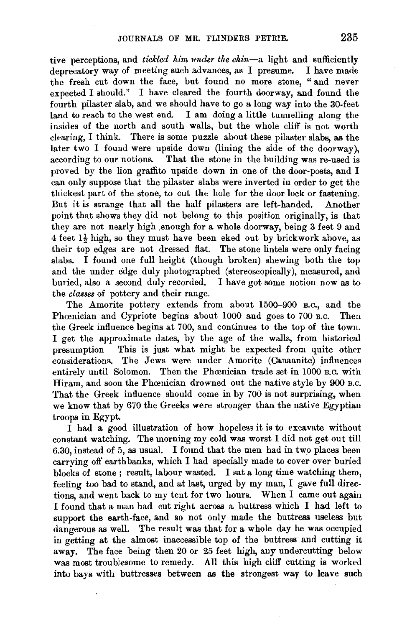tive perceptions, and *tickled him under the chin*—a light and sufficiently deprecatory way of meeting such advances, as I presume. I have made deprecatory way of meeting such advances, as  $I$  presume. the fresh cut down the face, but found no more stone, "and never expected I should." I have cleared the fourth doorway, and found the fourth pilaster slab, and we should have to go a long way into the 30-feet land to reach to the west end. I am doing a little tunnelling along the I am doing a little tunnelling along the insides of the north and south walls, but the whole cliff is not worth clearing, I think. There is some puzzle about these pilaster slabs, as the later two I found were upside down (lining the side of the doorway), according to our notions. That the stone in the building was re-used is proved by the lion graffito upside down in one of the door-posts, and I can only suppose that the pilaster slabs were inverted in order to get the thickest part of the stone, to cut the hole 'for the door lock or fastening. But it is strange that all the half pilasters are left-handed. Another point that shows they did not belong to this position originally, is that they are not nearly high enough for a whole doorway, being 3 feet 9 and 4 feet  $1\frac{1}{2}$  high, so they must have been eked out by brickwork above, as their top edges are not dressed flat. The stone lintels were only facing slabs. I found one full height (though broken) shewing both the top and the under edge duly photographed (stereoscopically), measured, and buried, also a second duly recorded. I have got some notion now as to the *classe&* of pottery and their range.

The Amorite pottery extends from about 1500-900 B.c., and the Phœnician and Cypriote begins about 1000 and goes to 700 B.C. Then the Greek influence begins at 700, and continues to the top of the town. I get the approximate dates, by the age of the walls, from historical presumption This is just what might be expected from quite other considerations. The Jews were under Amorite (Canaanite) influences entirely until Solomon. Then the Phœnician trade set in 1000 B.C. with Hiram, and soon the Phœnician drowned out the native style by 900 B.c. That the Greek influence should come in by 700 is not surprising, when we know that by 670 the Greeks were stronger than the native Egyptian troops in Egypt.

I had a good illustration of how hopeless it is to excavate without constant watching. The morning my cold was worst I did not get out till 6.30, instead of 5, as usual. I found that the men had in two places been carrying off earth banks, which I had specially made to cover over buried blocks of stone ; result, labour wasted. I sat a long time watching them, feeling too bad to stand, and at last, urged by my man, I gave full directions, and went back to my tent for two hours. When I came out again I found that a man had cut right across a buttress which I had left to support the earth-face, and so not only made the buttress useless but dangerous as well. The result was that for a whole day he was occupied in getting at the almost inaccessible top of the buttress and cutting it away. The face being then 20 or 25 feet high, any undercutting below was most troublesome to remedy. All this high cliff cutting is worked into bays with buttresses between as the strongest way to leave such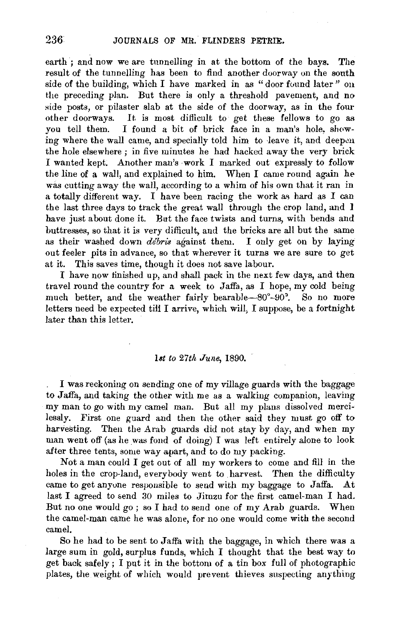earth ; and now we are tunnelling in at the bottom of the bays. The result of the tunnelling has been to find another doorway on the south side of the building, which I have marked in as "door found later" on the preceding plan. But there is only a threshold pavement, and no side posts, or pilaster slab at the side of the doorway, as in the four other doorways. It is most difficult to get these fellows to go as you tell them. I found a bit of brick face in a man's hole, showing where the wall came, and specially told him to leave it, and deepen the hole elsewhere ; in five minutes he had hacked away the very brick I wanted kept. Another man's work I marked out expressly to follow the line of a wall, and explained to him. When I came round again he was cutting away the wall, according to a whim of his own that it ran in a totally different way. I have been racing the work as hard as I can the last three days to track the great wall through the crop land, and 1 have just about done it. But the face twists and turns, with bends and buttresses, so that it is very difficult, and the bricks are all but the same as their washed down *debris* against them. I only get on by laying out feeler pits in advance, so that wherever it turns we are sure to get at it. This saves time, though it does not save labour.

I have now finished up, and shall pack in the next few days, and then travel round the country for a week to Jaffa, as I hope, my cold being much better, and the weather fairly bearable-80°-90°. So no more letters need be expected till I arrive, which will, I suppose, be a fortnight later than this letter.

# *l8t to 27th June,* 1890.

I was reckoning on sending one of my village guards with the baggage to Jaffa, and taking the other with me as a walking companion, leaving my man to go with my camel man. But all my plans dissolved mercilessly. First one guard and then the other said they must. go off to harvesting. Then the Arab guards did not stay by day, and when my man went off (as he was fond of doing) I was left entirely alone to look after three tents, some way apart, and to do my packing.

Not a man could I get out of all my workers to come and fill in the holes in the crop-land, everybody went to harvest. Then the difficulty came to get anyone responsible to send with my baggage to Jaffa. At last I agreed to send 30 miles to Jimzu for the first camel-man I had. But no one would go ; so I had to send one of my Arab guards. When the camel-man came he was alone, for no one would come with the second camel.

So he had to be sent to Jaffa with the baggage, in which there was a large sum in gold, surplus funds, which I thought that the best way to get back safely ; I put it in the bottom of a tin box full of photographic plates, the weight of which would prevent thieves suspecting anything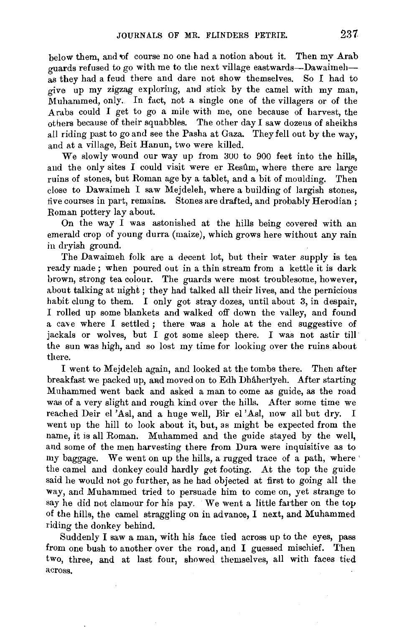below them, and of course no one had a notion about it. Then my Arab guards refused to go with me to the next village eastwards-Dawaimehas they had a feud there and dare not show themselves. So I had to give up my zigzag exploring, and stick by the camel with my man, Muhammed, only. In fact, not a single one of the villagers or of the Arabs could I get to go a mile with me, one because of harvest, the others because of their squabbles. The other day I saw dozens of sheikhs all riding past to go and see the Pasha at Gaza. They fell out by the way, and at a village, Beit Hanun, two were killed.

We slowly wound our way up from 300 to 900 feet into the hills. and the only sites I could visit were er Resûm, where there are large ruins of stones, but Roman age by a tablet, and a bit of moulding. Then close to Dawaimeh I saw Mejdeleh, where a building of largish stones, five courses in part, remains. Stones are drafted, and probably Herodian ; Roman pottery lay about.

On the way I was astonished at the hills being covered with an emerald crop of young durra (maize), which grows here without any rain in dryish ground.

The Dawaimeh folk are a decent lot, but their water supply is tea ready made ; when poured out in a thin stream from a kettle it is dark brown, strong tea colour. The guards were most troublesome, however, about talking at night ; they had talked all their lives, and the pernicious habit clung to them. I only got stray dozes, until about 3, in despair, I rolled up some blankets and walked off down the valley, and found a cave where I settled; there was a hole at the end suggestive of jackals or wolves, but I got some sleep there. I was not astir till the sun was high, and so lost my time for looking over the ruins about there.

I went to Mejdeleh again, and looked at the tombs there. Then after breakfast we packed up, and moved on to Edh Dhâherîyeh. After starting Muhammed went back and asked a man to come as guide, as the road was of a very slight and rough kind over the hills. After some time we reached Deir el 'Asl, and a huge well, Bir el 'Asl, now all but dry. I went up the hill to look about it, but, as might be expected from the name, it is all Roman. Muhammed and the guide stayed by the well, and some of the men harvesting there from Dura were inquisitive as to my baggage. We went on up the hills, a rugged trace of a path, where ' the camel and donkey could hardly get footing. At the top the guide said he would not go further, as he had objected at first to going all the way, and Muhammed tried to persuade him to come on, yet strange to say he did not clamour for his pay. We went a little farther on the top of the hills, the camel straggling on in advance, I next, and Muhammed riding the donkey behind.

Suddenly I saw a man, with his face tied across up to the eyes, pass from one bush to another over the road, and I guessed mischief. Then two, three, and at last four, showed themselves, all with faces tied across.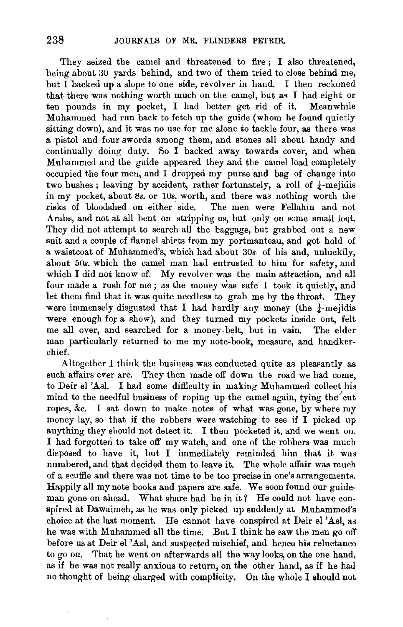They seized the camel and threatened to fire ; I also threatened, being about 30 yards behind, and two of them tried to close behind me, but I backed up a slope to one side, revolver in hand. I then reckoned that there was nothing worth much on the camel, but as I had eight or ten pounds in my pocket, I had better get rid of it. Meanwhile Muhammed had run back to fetch up the guide (whom he found quietly sitting down), and it was no use for me alone to tackle four, as there was a pistol and four swords among them, and stones all about handy and continually doing duty. So I backed away towards cover, and when Muhammed and the guide appeared they and the camel load completely occupied the four men, and I dropped my purse and bag of change into two bushes; leaving by accident, rather fortunately, a roll of  $\frac{1}{4}$ -mejidis in my pocket, about *8s.* or 10s. worth, and there was nothing worth the risks of bloodshed on either side. The men were Fellahin and not Arabs, and not at all bent on stripping us, but only on some small loqt. They did not attempt to search all the baggage, but grabbed out a new suit and a couple of flannel shirts from my portmanteau, and got hold of a waistcoat of Muhammed's, which had about 30s. of his and, unluckily, about 50s. which the camel man had entrusted to him for safety, and which I did not know of. My revolver was the main attraction, and all four made a rush for me; as the money was safe I took it quietly, and let them find that it was quite needless to grab me by the throat. They were immensely disgusted that I had hardly any money (the  $\frac{1}{4}$ -mejidis were enough for a show), and they turned my pockets inside out, felt me all over, and searched for a money-belt, but in vain. The elder man particularly returned to me my note-book, measure, and handkerchief.

Altogether I think the business was conducted quite as pleasantly as such affairs ever are. They then made off down the road we had come, to Deir el 'Asl. I had some difficulty in making Muhammed collect his mind to the needful business of roping up the camel again, tying the cut ropes, &c. I sat down to make notes of what was gone, by where my money lay, so that if the robbers were watching to see if I picked up anything they should not detect it. I then pocketed it, and we went on. I had forgotten to take off my watch, and one of the robbers was much disposed to have it, but I immediately reminded him that it was numbered, and that decided them to leave it. The whole affair was much of a scuffle and there was not time to be too precise in one's arrangements. Happily all my note books and papers are safe. We soon found our guideman gone on ahead. What share had he in it? He could not have conspired at Dawaimeh, as he was only picked up suddenly at Muhammed's choice at the last moment. He cannot have conspired at Deir el 'Asl, as he was with Muhammed all the time. But I think he saw the men go off before us at Deir el 'Asl, and suspected mischief, and hence his reluctance to go on. That he went on afterwards all the way looks, on the one hand, as if he was not really anxious to return, on the other hand, as if he had no thought of being charged with complicity. On the whole I should not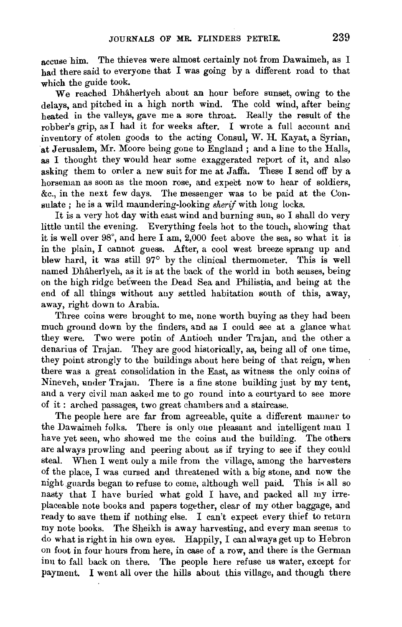accuse him. The thieves were almost certainly not from Dawaimeh, as I had there said to everyone that I was going by a different road to that which the guide took.

We reached Dhâheriyeh about an hour before sunset, owing to the delays, and pitched in a high north wind. The cold wind, after being heated in the valleys, gave me a sore throat. Really the result of the robber's grip, as I had it for weeks after. I wrote a full account and inventory of stolen goods to the acting Consul, W. H. Kayat, a Syrian, at Jerusalem, Mr. Moore being gone to England ; and a line to the Halls, as I thought they would hear some exaggerated report of it, and also asking them to order a new suit for me at Jaffa. These I send off by a horseman as soon as the moon rose, and expect now to hear of soldiers, &c., in the next few days. The messenger was to be paid at the Consulate ; he is a wild maundering-looking *sherif* with long locks.

It is a very hot day with east wind and burning sun, so I shall do very little until the evening. Everything feels hot to the touch, showing that it is well over 98°, and here I am, 2,000 feet above the sea, so what it is in the plain, I cannot guess. After, a cool west breeze sprang up and blew hard, it was still 97° by the clinical thermometer. This is well named Dhâherîyeh, as it is at the back of the world in both senses, being on the high ridge between the Dead Sea and Philistia, and being at the end of all things without any settled habitation south of this, away, away, right down to Arabia.

Three coins were brought to me, none worth buying as they had been much ground down by the finders, and as I could see at a glance what they were. Two were potin of Antioch under Trajan, and the other a denarius of Trajan. They are good historically, as, being all of one time, they point strongly to the buildings about here being of that reign, when there was a great consolidation in the East, as witness the only coins of Nineveh, under Trajan. There is a fine stone building just by my tent, and a very civil man asked me to go round into a courtyard to see more of it: arched passages, two great chambers and a staircase.

The people here are far from agreeable, quite a different manner to the Dawaimeh folks. There is only one pleasant and intelligent man I have yet seen, who showed me the coins and the building. The others are always prowling and peering about as if trying to see if they could steal. When I went only a mile from the village, among the harvesters of the place, I was cursed and threatened with a big stone, and now the night guards began to refuse to come, although well paid. This is all so nasty that I have buried what gold I have, and packed all my irreplaceable note books and papers together, clear of my other baggage, and ready to save them if nothing else. I can't expect every thief to return my note books. The Sheikh is away harvesting, and every man seems to do what is right in his own eyes. Happily, I can always get up to Hebron on foot in four hours from here, in case of a row, and there is the German inn to fall back on there. The people here refuse us water, except for payment. I went all over the hills about this village, and though there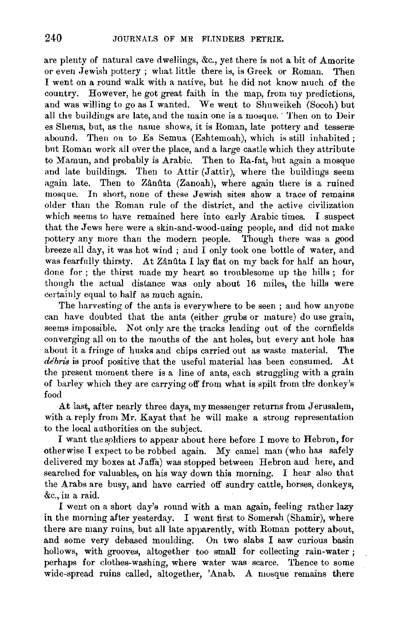are plenty of natural cave dwellings, &c., yet there is not a bit of Amorite or even .Jewish pottery; what little there is, is Greek or Roman. Then I went on a round walk with a native, but he did not know much of the country. However, he got great faith in the map, from my predictions, and was willing to go as I wanted. We went to Shuweikeh (Socoh) but all the buildings are late, and the main one is a mosque. 'Then on to Deir es Shems, but, as the name shows, it is Roman, late pottery and tesserre abound. Then on to Es Semua (Eshtemoah), which is still inhabited; but Roman work all over the place, and a large castle which they attribute to Mamun, and probably is Arabic. Then to Ra-fat, but again a mosque and late buildings. Then to Attir (Jattir), where the buildings seem again late. Then to Zânûta (Zanoah), where again there is a ruined mosque. In short, none of these Jewish sites show a trace of remains older than the Roman rule of the district, and the active civilization which seems to have remained here into early Arabic times. I suspect that the Jews here were a skin-and-wood-using people, and did not make pottery any more than the modern people. Though there was a good breeze all day, it was hot wind ; and I only took one bottle of water, and was fearfully thirsty. At Zânûta I lay flat on my back for half an hour, done for ; the thirst made my heart so troublesome up the hills ; for though the actual distance was only about 16 miles, the hills were certainly equal to half as much again.

The harvesting of the ants is everywhere to be seen ; and how anyone can have doubted that the ants (either grubs or mature) do use grain, seems impossible. Not only are the tracks leading out of the cornfields converging all on to the mouths of the ant holes, but every ant hole has about it a fringe of husks and chips carried out as waste material. The *debri8* is proof positive that the useful material has been consumed. At the present moment there is a line of ants, each struggling with a grain of barley which they are carrying off from what is spilt from the donkey's food

At last, after nearly three days, my messenger returns from Jerusalem, with a reply from Mr. Kayat that he will make a strong representation to the local authorities on the subject.

I want the soldiers to appear about here before I move to Hebron, for otherwise I expect to be robbed again. My camel man (who has safely delivered my boxes at Jaffa) was stopped between Hebron and here, and searched for valuables, on his way down this morning. I hear also that the Arabs are busy, and have carried off sundry cattle, horses, donkeys, &c., in a raid.

I went on a short day's round with a man again, feeling rather lazy in the morning after yesterday. I went first to Somerah (Shamir), where there are many ruins, but all late apparently, with Roman pottery about, and some very debased moulding. On two slabs I saw curious basin hollows, with grooves, altogether too small for collecting rain-water ; perhaps for clothes-washing, where water was scarce. Thence to some wide-spread ruins called, altogether, 'Anab. A mosque remains there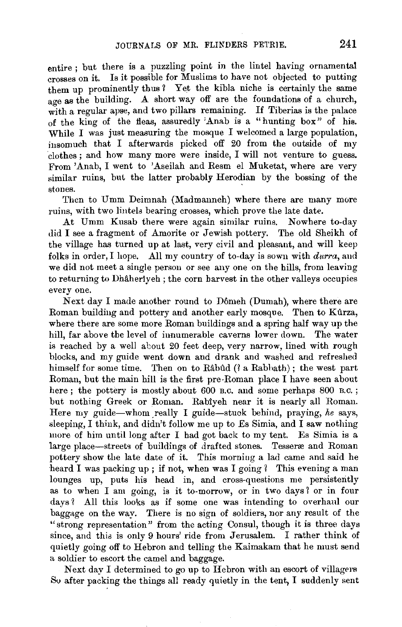entire ; but there is a puzzling point in the lintel having ornamental crosses on it. Is it possible for Muslims to have not objected to putting them up prominently thus ? Yet the kibla niche is certainly the same age as the building. A short way off are the foundations of a church, with a regular apse, and two pillars remaining. If Tiberias is the palace of the king of the fleas, assuredly 'Anab is a "hunting box" of his. While I was just measuring the mosque I welcomed a large population, insomuch that I afterwards picked off 20 from the outside of my 'clothes ; and how many more were inside, I will not venture to guess. From 'Anab, I went to 'Aseilah and Resm el Muketat, where are very similar ruins, but the latter probably Herodian by the bossing of the stones.

Then to Umm Deimnah (Madmanneh) where there are many more ruins, with two lintels bearing crosses, which prove the late date.

At Umm Kusab there were again similar ruins. Nowhere to-day did I see a fragment of Amorite or Jewish pottery. The old Sheikh of the village has turned up at last, very civil and pleasant, and will keep folks in order, I hope. All my country of to-day is sown with *durra,* and we did not meet a single person or see any one on the hills, from leaving to returning to Dhâherîyeh ; the corn harvest in the other valleys occupies every one.

Next day I made another round to D6meh (Dumah), where there are Roman building and pottery and another early mosque. Then to Kûrza, where there are some more Roman buildings and a spring half way up the hill, far above the level of innumerable caverns lower down. The water is reached by a well about 20 feet deep, very narrow, lined with rough blocks, and my guide went down and drank and washed and refreshed himself for some time. Then on to Rabud (? a Rabhath); the west part Roman, but the main hill is the first pre-Roman place I have seen about here; the pottery is mostly about 600 B.C. and some perhaps 800 B.C.; but nothing Greek or Roman. Rabîveh near it is nearly all Roman. Here my guide-whom really I guide-stuck behind, praying, he says, sleeping, I think, and didn't follow me up to Es Simia, and I saw nothing more of him until long after I had got back to my tent. Es Simia is a large place-streets of buildings of drafted stones. Tesseræ and Roman pottery show the late date of it. This morning a lad came and said he heard I was packing up; if not, when was I going ? This evening a man lounges up, puts his head in, and cross-questions me persistently as to when I am going, is it to-morrow, or in two days *1* or in four days *1* All this looks as if some one was intending to overhaul our baggage on the way. There is no sign of soldiers, nor any result of the "strong representation" from the acting Consul, though it is three days since, and thia is only 9 hours' ride from Jerusalem. I rather think of quietly going off to Hebron and telling the Kaimakam that he must send a soldier to escort the camel and baggage.

Next day I determined to go up to Hebron with an escort of villagers Su after packing the things all ready quietly in the tent, I suddenly sent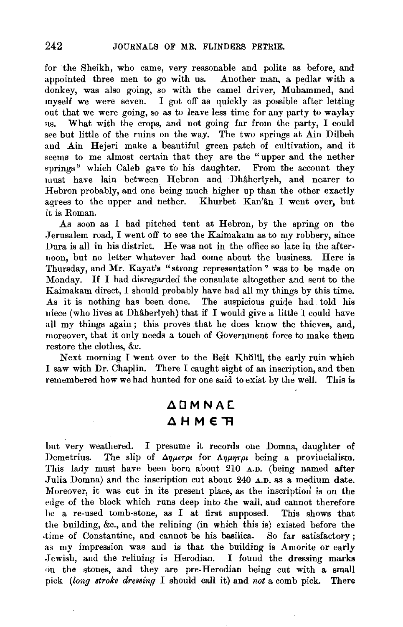for the Sheikh, who came, very reasonable and polite as before, and appointed three men to go with us. Another man, a pedlar with a donkey, was also going, so with the camel driver, Muhammed, and myself we were seven. I got off as quickly as possible after letting out that we were going, so as to leave less time for any party to waylay us. What with the crops, and not going far from the party, I could see but little of the ruins on the way. The two springs at Ain Dilbeh and Ain Hejeri make a beautiful green patch of cultivation, and it seems to me almost certain that they are the "upper and the nether springs" which Caleb gave to his daughter. From the account they 1uust have lain between Hebron and Dhaheriyeh, and nearer to Hebron probably, and one being much higher up than the other exactly agrees to the upper and nether. Khurbet Kan'an I went over, but it is Roman.

As soon as I had pitched tent at Hebron, by the spring on the Jerusalem road, I went off to see the Kaimakam as to my robbery, since Dura is all in his district. He was not in the office so iate in the after-1100n, but no letter whatever had come about the business. Here is Thursday, and Mr. Kayat's "strong representation" was to be made on Monday. If I had disregarded the consulate altogether and sent to the Kaimakam direct, I should probably have bad all my things by this time. As it is nothing has been done. The suspicious guiqe had told his niece (who lives at Dhaheriyeh) that if I would give a little I could have all my things again ; this proves that he does know the thieves, and, moreover, that it only needs a touch of Government force to make them restore the clothes, &c.

Next morning I went over to the Beit Khulfl, the early ruin which I saw with Dr. Chaplin. There I caught sight of an inscription, and then remembered how we had hunted for one said to exist by the well. This is

# **ADMNA[. AHMETH**

but very weathered. I presume it records one Domna, daughter of Demetrius. The slip of  $\Delta \eta \mu \epsilon \tau \rho \epsilon$  for  $\Delta \eta \mu \eta \tau \rho \epsilon$  being a provincialism. This lady must have been born about 210 A.D. (being named after Julia Domna) and the inscription cut about 240 A.D. as a medium date. Moreover, it was cut in its present place, as the inscription is on the edge of the block which runs deep into the wall, and cannot therefore he a re-used tomb-stone, as I at first supposed. This shows that the building, &c., and the relining (in which this is) existed before the .time of Constantine, and cannot be his basilica. So far satisfactory; as my impression was and is that the building is Amorite or early Jewish, and the relining is Herodian. I found the dressing marks on the stones, and they are pre-Herodian being cut with a small pick *(long stroke dressing* I should call it) and *not* a comb pick. There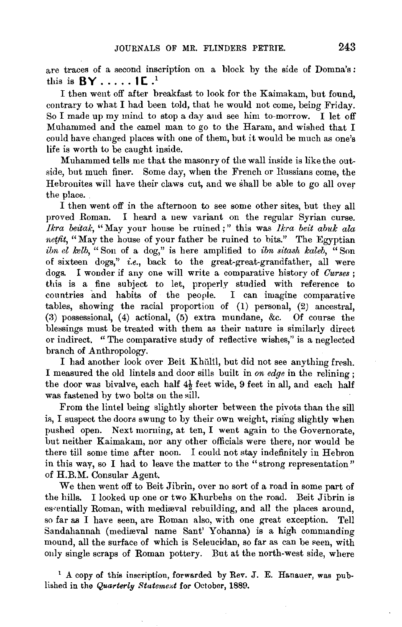are traces of a second inscription on a block by the side of Domna's : this is  $\mathsf{BY} \ldots \ldots \mathsf{IL}$ .<sup>1</sup>

I then went off after breakfast to look for the Kaimakam, but found, contrary to what I had been told, that he would not come, being Friday. So I made up my mind to stop a day and see him to-morrow. I let off Muhammed and the camel man to go to the Haram, and wished that I could have changed places with one of them, but it would be much as one's life is worth to be caught inside.

Muhammed tells me that the masonry of the wall inside is like the outside, but much finer. Some day, when the French or Hussians come, the Hebronites will have their claws cut, and we shall be able to go all over the place.

I then went off in the afternoon to see some other sites, but they all proved Roman. I heard a new variant on the regular Syrian curse. *Ikra beitak,* "May your house be ruined;" this was *lkra beit abulc ala neifit,* "May the house of your father be ruined to bits." The Egyptian *ibn el kelb,* "Son of a dog," is here amplified to *ibn sitash kaleb*, "Son of sixteen dogs," *i.e.,* back to the great-great-grandfather, all were dogs. I wonder if any one will write a comparative history of *Curses* ; this is a fine subject to let, properly studied with reference to countries and habits of the people. I can imagine comparative tables, showing the racial proportion of (1) personal, (2) ancestral, (a) possessional, (4) actional, (5) extra mundane, &c. Of course the blessings must be treated with them as their nature is similarly direct or indirect. "The comparative study of reflective wishes," is a neglected branch of Anthropology.

I had another look over Beit Khiilil, but did not see anything fresh. I measured the old lintels and door sills built in *on edge* in the relining; the door was bivalve, each half  $4\frac{1}{2}$  feet wide, 9 feet in all, and each half was fastened by two bolts on the sill.

From the lintel being slightly shorter between the pivots than the sill is, I suspect the doors swung to by their own weight, rising slightly when pushed open. Next morning, at ten, I went again to the Governorate, but neither Kaimakam, nor any other officials were there, nor would be there till some time after noon. I could not stay indefinitely in Hebron in this way, so I had to leave the matter to the "strong representation" of H.B.M. Consular Agent.

We then went off to Beit Jibrin, over no sort of a road in some part of the hills. I looked up one or two Khurbehs on the road. Beit Jibrin is es-entially Roman, with mediæval rebuilding, and all the places around, so far as I have seen, are Roman also, with one great exception. Tell Sandahannah (mediæval name Sant' Yohanna) is a high commanding mound, all the surface of which is Seleucidan, so far as can be seen, with only single scraps of Roman pottery. But at the north-west side, where

 $<sup>1</sup>$  A copy of this inscription, forwarded by Rev. J. E. Hanauer, was pub-</sup> lished in the *Quarterly Statemext* for October, 1889.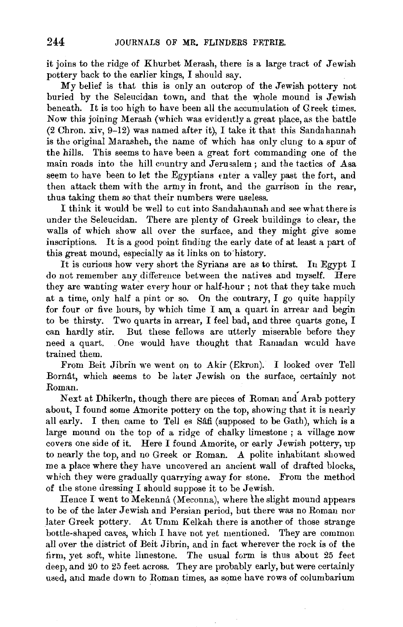it joins to the ridge of Khurbet Merash, there is a large tract of Jewish pottery back to the earlier kings, I should say.

 $\overline{M}_{y}$  belief is that this is only an outcrop of the Jewish pottery not buried by the Seleucidan town, and that the whole mound is Jewish beneath. It is too high to have been all the accumulation of Greek times. Now this joining Merash (which was evidently a great place, as the battle (2 Chron. xiv, 9-12) was named after it), I take it that this Sandahannah is the original Marasheh, the name of which has only clung to a spur of the hills. This seems to have been a great fort commanding one of the main roads into the hill country and Jerusalem; and the tactics of Asa seem to have been to let the Egyptians enter a valley past the fort, and then attack them with the army in front, and the garrison in the rear, thus taking them so that their numbers were useless.

I think it would be well to cut into Sandahannah and see what there is under the Seleucidan. There are plenty of Greek buildings to clear, the walls of which show all over the surface, and they might give some inscriptions. It is a good point finding the early date of at least a part of this great mound, especially as it links on to'history.

It is curious how very short the Syrians are as to thirst. In Egypt I do not remember any difference between the natives and myself. Here they are wanting water every hour or half-hour ; not that they take much at a time, only half a pint or so. On the contrary, I go quite happily for four or five hours, by which time I am, a quart in arrear and begin to be thirsty. Two quarts in arrear, I feel bad, and three quarts gone, I can hardly stir. But these fellows are utterly miserable before they need a quart. One would have thought that Ramadan wculd have trained them.

From Beit Jibrin we went on to Akir (Ekron). I looked over Tell Bornât, which seems to be later Jewish on the surface, certainly not Roman.

Next at Dhikerin, though there are pieces of Roman and Arab pottery about, I found some Amorite pottery on the top, showing that it is nearly all early. I then came to Tell es Sâfi (supposed to be Gath), which is a large mound ou the top of a ridge of chalky limestone ; a village now covers one side of it. Here I found Amorite, or early Jewish pottery, up to nearly the top, and no Greek or Roman. A polite inhabitant showed me a place where they have uncovered an ancient wall of drafted blocks, which they were gradually quarrying away for stone. From the method of the stone dressing I should suppose it to be Jewish.

Hence I went to Mekenna (Meconna), where the slight mound appears to be of the later Jewish and Persian period, but there was no Roman nor later Greek pottery. At Umm Kelkah there is another of those strange bottle-shaped caves, which I have not yet mentioned. They are common all over the district of Beit Jibrin, and in fact wherever the rock is of the firm, yet soft, white limestone. The usual form is thus about 25 feet deep, and 20 to 25 feet across. They are probably early, but were certainly used, and made down to Roman times, as some have rows of columbarium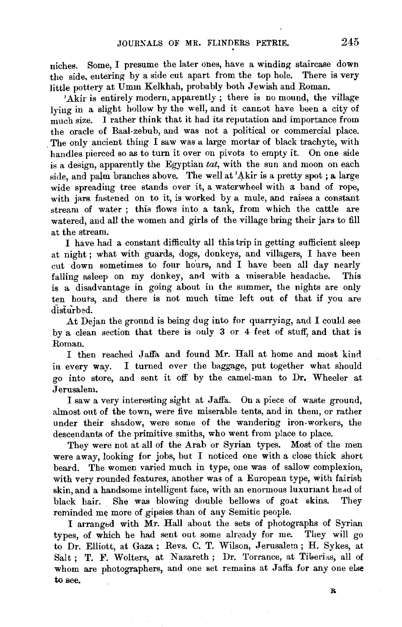niches. Some, I presume the later ones, have a winding staircase down the side, entering by a side cut apart from the top hole. There is very little pottery at Umm Kelkhah, probably both Jewish and Roman.

'Akir is entirely modern, apparently; there is no mound, the village lying in a slight hollow by the well, and it cannot have been a city of much size. I rather think that it had its reputation and importance from the oracle of Baal-zebub, and was not a political or commercial place. The only ancient thing I saw was a large mortar of black trachyte, with handles pierced so as to turn it over on pivots to empty it. On one side is a design, apparently the Egyptian *tat,* with the sun and moon on each side, and palm branches above. The well at 'Akir is a pretty spot; a large wide spreading tree stands over it, a waterwheel with a band of rope, with jars fastened on to it, is worked by a mule, and raises a constant stream of water ; this flows into a tank, from which the cattle are watered, and all the women and girls of the village bring their jars to fill at the stream.

I have had a constant difficulty all this trip in getting sufficient sleep at night ; what with guards, dogs, donkeys, and villagers, I have been cut down sometimes to four hours, and I have been all day nearly falling asleep on my donkey, and with a miserable headache. This is a disadvantage in going about in the summer, the nights are only ten hours, and there is not much time left out of that if you are disturbed.

At Dejan the ground is being dug into for quarrying, and I could see by a clean section that there is only 3 or 4 feet of stuff, and that is Roman.

I then reached Jaffa and found Mr. Hall at home and most kind in every way. I turned over the baggage, put together what should go into store, and sent it off by the camel-man to Dr. Wheeler at Jerusalem.

I saw a very interesting sight at Jaffa. On a piece of waste ground, almost out of the town, were five miserable tents, and in them, or rather under their shadow, were some of the wandering iron-workers, the descendants of the primitive smiths, who went from place to place.

They were not at all of the Arab or Syrian types. Most of the men were away, looking for jobs, but I noticed one with a close thick short beard. The women varied much in type, one was of sallow complexion, with very rounded features, another was of a European type, with fairish skin, and a handsome intelligent face, with an enormous luxuriant head of black hair. She was blowing double bellows of goat skins. They reminded me more of gipsies than of any Semitic people.

I arranged with Mr. Hall about the sets of photographs of Syrian types, of which he had sent out some alraady for me. They will go to Dr. Elliott, at Gaza; Revs. C. T. Wilson, Jerusalem; H. Sykes, at Salt; T. F. Wolters, at Nazareth; Dr. Torrance, at Tiberias, all of whom are photographers, and one set remains at Jaffa for any one else to see.